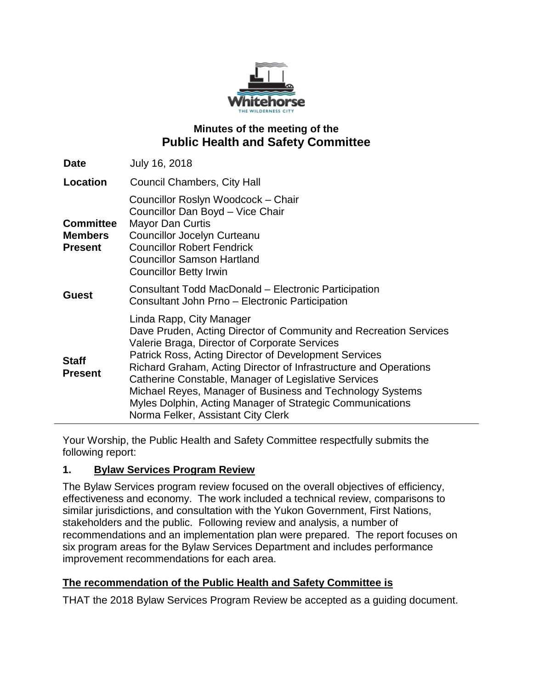

# **Minutes of the meeting of the Public Health and Safety Committee**

| <b>Date</b>                                          | July 16, 2018                                                                                                                                                                                                                                                                                                                                                                                                                                                                                       |
|------------------------------------------------------|-----------------------------------------------------------------------------------------------------------------------------------------------------------------------------------------------------------------------------------------------------------------------------------------------------------------------------------------------------------------------------------------------------------------------------------------------------------------------------------------------------|
| Location                                             | <b>Council Chambers, City Hall</b>                                                                                                                                                                                                                                                                                                                                                                                                                                                                  |
| <b>Committee</b><br><b>Members</b><br><b>Present</b> | Councillor Roslyn Woodcock - Chair<br>Councillor Dan Boyd - Vice Chair<br><b>Mayor Dan Curtis</b><br><b>Councillor Jocelyn Curteanu</b><br><b>Councillor Robert Fendrick</b><br><b>Councillor Samson Hartland</b><br><b>Councillor Betty Irwin</b>                                                                                                                                                                                                                                                  |
| <b>Guest</b>                                         | Consultant Todd MacDonald – Electronic Participation<br>Consultant John Prno - Electronic Participation                                                                                                                                                                                                                                                                                                                                                                                             |
| <b>Staff</b><br><b>Present</b>                       | Linda Rapp, City Manager<br>Dave Pruden, Acting Director of Community and Recreation Services<br>Valerie Braga, Director of Corporate Services<br>Patrick Ross, Acting Director of Development Services<br>Richard Graham, Acting Director of Infrastructure and Operations<br>Catherine Constable, Manager of Legislative Services<br>Michael Reyes, Manager of Business and Technology Systems<br>Myles Dolphin, Acting Manager of Strategic Communications<br>Norma Felker, Assistant City Clerk |

Your Worship, the Public Health and Safety Committee respectfully submits the following report:

### **1. Bylaw Services Program Review**

The Bylaw Services program review focused on the overall objectives of efficiency, effectiveness and economy. The work included a technical review, comparisons to similar jurisdictions, and consultation with the Yukon Government, First Nations, stakeholders and the public. Following review and analysis, a number of recommendations and an implementation plan were prepared. The report focuses on six program areas for the Bylaw Services Department and includes performance improvement recommendations for each area.

# **The recommendation of the Public Health and Safety Committee is**

THAT the 2018 Bylaw Services Program Review be accepted as a guiding document.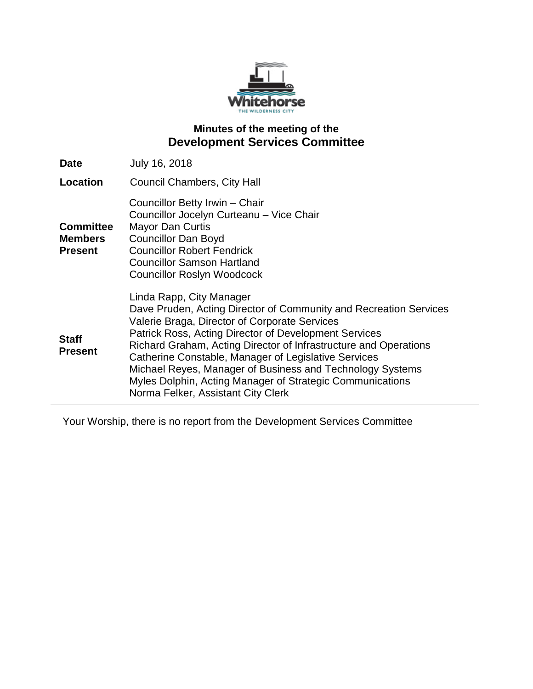

# **Minutes of the meeting of the Development Services Committee**

| <b>Date</b>                                          | July 16, 2018                                                                                                                                                                                                                                                                                                                                                                                                                                                                                       |
|------------------------------------------------------|-----------------------------------------------------------------------------------------------------------------------------------------------------------------------------------------------------------------------------------------------------------------------------------------------------------------------------------------------------------------------------------------------------------------------------------------------------------------------------------------------------|
| Location                                             | <b>Council Chambers, City Hall</b>                                                                                                                                                                                                                                                                                                                                                                                                                                                                  |
| <b>Committee</b><br><b>Members</b><br><b>Present</b> | Councillor Betty Irwin - Chair<br>Councillor Jocelyn Curteanu - Vice Chair<br><b>Mayor Dan Curtis</b><br><b>Councillor Dan Boyd</b><br><b>Councillor Robert Fendrick</b><br><b>Councillor Samson Hartland</b><br><b>Councillor Roslyn Woodcock</b>                                                                                                                                                                                                                                                  |
| <b>Staff</b><br><b>Present</b>                       | Linda Rapp, City Manager<br>Dave Pruden, Acting Director of Community and Recreation Services<br>Valerie Braga, Director of Corporate Services<br>Patrick Ross, Acting Director of Development Services<br>Richard Graham, Acting Director of Infrastructure and Operations<br>Catherine Constable, Manager of Legislative Services<br>Michael Reyes, Manager of Business and Technology Systems<br>Myles Dolphin, Acting Manager of Strategic Communications<br>Norma Felker, Assistant City Clerk |

Your Worship, there is no report from the Development Services Committee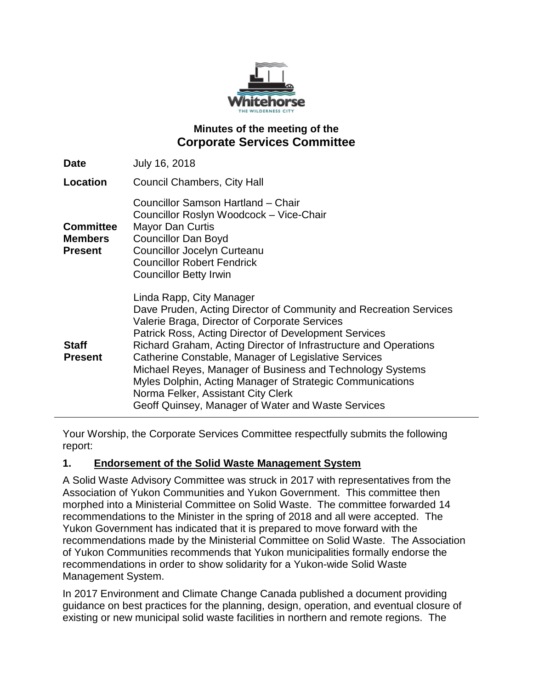

## **Minutes of the meeting of the Corporate Services Committee**

| <b>Date</b>                                          | July 16, 2018                                                                                                                                                                                                                                                                                                                                                                                                                                                                                                                                             |
|------------------------------------------------------|-----------------------------------------------------------------------------------------------------------------------------------------------------------------------------------------------------------------------------------------------------------------------------------------------------------------------------------------------------------------------------------------------------------------------------------------------------------------------------------------------------------------------------------------------------------|
| Location                                             | <b>Council Chambers, City Hall</b>                                                                                                                                                                                                                                                                                                                                                                                                                                                                                                                        |
| <b>Committee</b><br><b>Members</b><br><b>Present</b> | Councillor Samson Hartland - Chair<br>Councillor Roslyn Woodcock - Vice-Chair<br><b>Mayor Dan Curtis</b><br><b>Councillor Dan Boyd</b><br><b>Councillor Jocelyn Curteanu</b><br><b>Councillor Robert Fendrick</b><br><b>Councillor Betty Irwin</b>                                                                                                                                                                                                                                                                                                        |
| <b>Staff</b><br><b>Present</b>                       | Linda Rapp, City Manager<br>Dave Pruden, Acting Director of Community and Recreation Services<br>Valerie Braga, Director of Corporate Services<br>Patrick Ross, Acting Director of Development Services<br>Richard Graham, Acting Director of Infrastructure and Operations<br>Catherine Constable, Manager of Legislative Services<br>Michael Reyes, Manager of Business and Technology Systems<br>Myles Dolphin, Acting Manager of Strategic Communications<br>Norma Felker, Assistant City Clerk<br>Geoff Quinsey, Manager of Water and Waste Services |

Your Worship, the Corporate Services Committee respectfully submits the following report:

### **1. Endorsement of the Solid Waste Management System**

A Solid Waste Advisory Committee was struck in 2017 with representatives from the Association of Yukon Communities and Yukon Government. This committee then morphed into a Ministerial Committee on Solid Waste. The committee forwarded 14 recommendations to the Minister in the spring of 2018 and all were accepted. The Yukon Government has indicated that it is prepared to move forward with the recommendations made by the Ministerial Committee on Solid Waste. The Association of Yukon Communities recommends that Yukon municipalities formally endorse the recommendations in order to show solidarity for a Yukon-wide Solid Waste Management System.

In 2017 Environment and Climate Change Canada published a document providing guidance on best practices for the planning, design, operation, and eventual closure of existing or new municipal solid waste facilities in northern and remote regions. The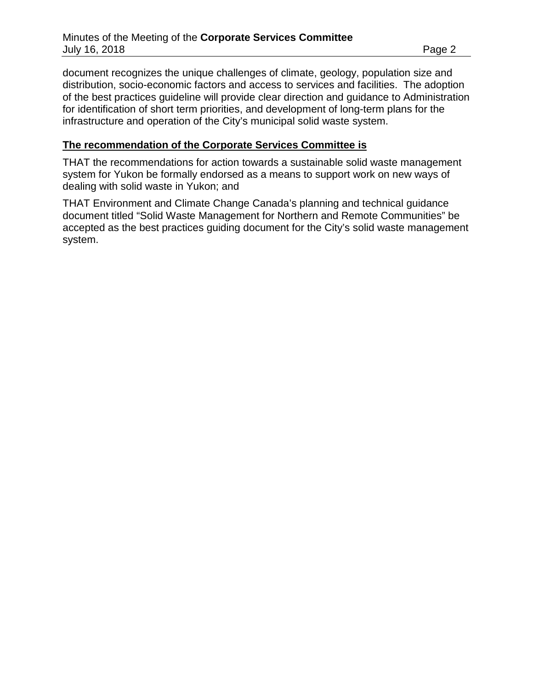document recognizes the unique challenges of climate, geology, population size and distribution, socio-economic factors and access to services and facilities. The adoption of the best practices guideline will provide clear direction and guidance to Administration for identification of short term priorities, and development of long-term plans for the infrastructure and operation of the City's municipal solid waste system.

#### **The recommendation of the Corporate Services Committee is**

THAT the recommendations for action towards a sustainable solid waste management system for Yukon be formally endorsed as a means to support work on new ways of dealing with solid waste in Yukon; and

THAT Environment and Climate Change Canada's planning and technical guidance document titled "Solid Waste Management for Northern and Remote Communities" be accepted as the best practices guiding document for the City's solid waste management system.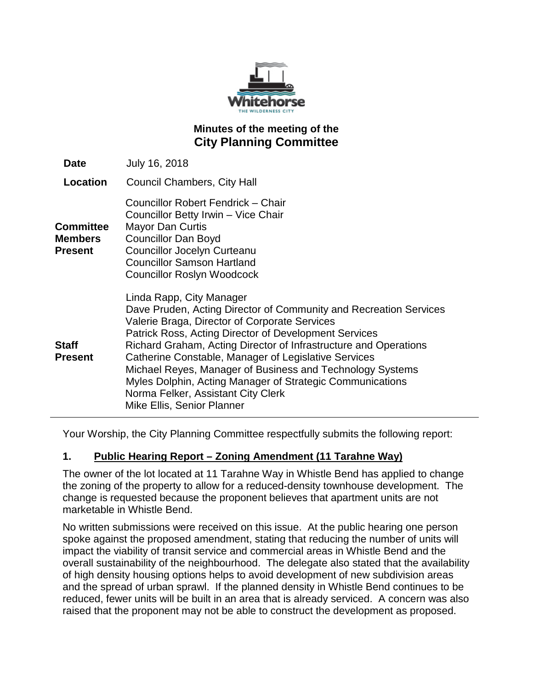

# **Minutes of the meeting of the City Planning Committee**

| <b>Date</b>                            | July 16, 2018                                                                                                                                                                                                                                                                                                                                                                                                                                                                                                                            |
|----------------------------------------|------------------------------------------------------------------------------------------------------------------------------------------------------------------------------------------------------------------------------------------------------------------------------------------------------------------------------------------------------------------------------------------------------------------------------------------------------------------------------------------------------------------------------------------|
| Location                               | Council Chambers, City Hall                                                                                                                                                                                                                                                                                                                                                                                                                                                                                                              |
| Committee<br><b>Members</b><br>Present | Councillor Robert Fendrick - Chair<br>Councillor Betty Irwin - Vice Chair<br><b>Mayor Dan Curtis</b><br><b>Councillor Dan Boyd</b><br><b>Councillor Jocelyn Curteanu</b><br><b>Councillor Samson Hartland</b><br><b>Councillor Roslyn Woodcock</b>                                                                                                                                                                                                                                                                                       |
| Staff<br>Present                       | Linda Rapp, City Manager<br>Dave Pruden, Acting Director of Community and Recreation Services<br>Valerie Braga, Director of Corporate Services<br><b>Patrick Ross, Acting Director of Development Services</b><br>Richard Graham, Acting Director of Infrastructure and Operations<br>Catherine Constable, Manager of Legislative Services<br>Michael Reyes, Manager of Business and Technology Systems<br>Myles Dolphin, Acting Manager of Strategic Communications<br>Norma Felker, Assistant City Clerk<br>Mike Ellis, Senior Planner |

Your Worship, the City Planning Committee respectfully submits the following report:

# **1. Public Hearing Report – Zoning Amendment (11 Tarahne Way)**

The owner of the lot located at 11 Tarahne Way in Whistle Bend has applied to change the zoning of the property to allow for a reduced-density townhouse development. The change is requested because the proponent believes that apartment units are not marketable in Whistle Bend.

No written submissions were received on this issue. At the public hearing one person spoke against the proposed amendment, stating that reducing the number of units will impact the viability of transit service and commercial areas in Whistle Bend and the overall sustainability of the neighbourhood. The delegate also stated that the availability of high density housing options helps to avoid development of new subdivision areas and the spread of urban sprawl. If the planned density in Whistle Bend continues to be reduced, fewer units will be built in an area that is already serviced. A concern was also raised that the proponent may not be able to construct the development as proposed.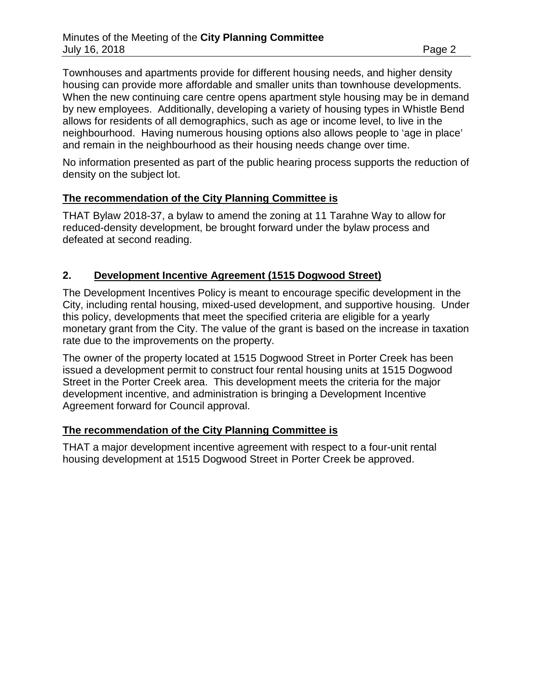Townhouses and apartments provide for different housing needs, and higher density housing can provide more affordable and smaller units than townhouse developments. When the new continuing care centre opens apartment style housing may be in demand by new employees. Additionally, developing a variety of housing types in Whistle Bend allows for residents of all demographics, such as age or income level, to live in the neighbourhood. Having numerous housing options also allows people to 'age in place' and remain in the neighbourhood as their housing needs change over time.

No information presented as part of the public hearing process supports the reduction of density on the subject lot.

## **The recommendation of the City Planning Committee is**

THAT Bylaw 2018-37, a bylaw to amend the zoning at 11 Tarahne Way to allow for reduced-density development, be brought forward under the bylaw process and defeated at second reading.

## **2. Development Incentive Agreement (1515 Dogwood Street)**

The Development Incentives Policy is meant to encourage specific development in the City, including rental housing, mixed-used development, and supportive housing. Under this policy, developments that meet the specified criteria are eligible for a yearly monetary grant from the City. The value of the grant is based on the increase in taxation rate due to the improvements on the property.

The owner of the property located at 1515 Dogwood Street in Porter Creek has been issued a development permit to construct four rental housing units at 1515 Dogwood Street in the Porter Creek area. This development meets the criteria for the major development incentive, and administration is bringing a Development Incentive Agreement forward for Council approval.

### **The recommendation of the City Planning Committee is**

THAT a major development incentive agreement with respect to a four-unit rental housing development at 1515 Dogwood Street in Porter Creek be approved.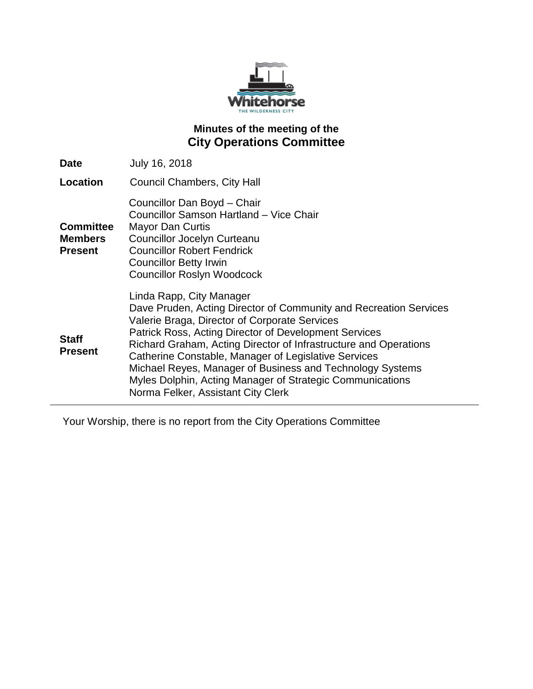

# **Minutes of the meeting of the City Operations Committee**

| <b>Date</b>                                          | July 16, 2018                                                                                                                                                                                                                                                                                                                                                                                                                                                                                       |
|------------------------------------------------------|-----------------------------------------------------------------------------------------------------------------------------------------------------------------------------------------------------------------------------------------------------------------------------------------------------------------------------------------------------------------------------------------------------------------------------------------------------------------------------------------------------|
| Location                                             | Council Chambers, City Hall                                                                                                                                                                                                                                                                                                                                                                                                                                                                         |
| <b>Committee</b><br><b>Members</b><br><b>Present</b> | Councillor Dan Boyd - Chair<br>Councillor Samson Hartland - Vice Chair<br>Mayor Dan Curtis<br><b>Councillor Jocelyn Curteanu</b><br><b>Councillor Robert Fendrick</b><br><b>Councillor Betty Irwin</b><br><b>Councillor Roslyn Woodcock</b>                                                                                                                                                                                                                                                         |
| <b>Staff</b><br><b>Present</b>                       | Linda Rapp, City Manager<br>Dave Pruden, Acting Director of Community and Recreation Services<br>Valerie Braga, Director of Corporate Services<br>Patrick Ross, Acting Director of Development Services<br>Richard Graham, Acting Director of Infrastructure and Operations<br>Catherine Constable, Manager of Legislative Services<br>Michael Reyes, Manager of Business and Technology Systems<br>Myles Dolphin, Acting Manager of Strategic Communications<br>Norma Felker, Assistant City Clerk |

Your Worship, there is no report from the City Operations Committee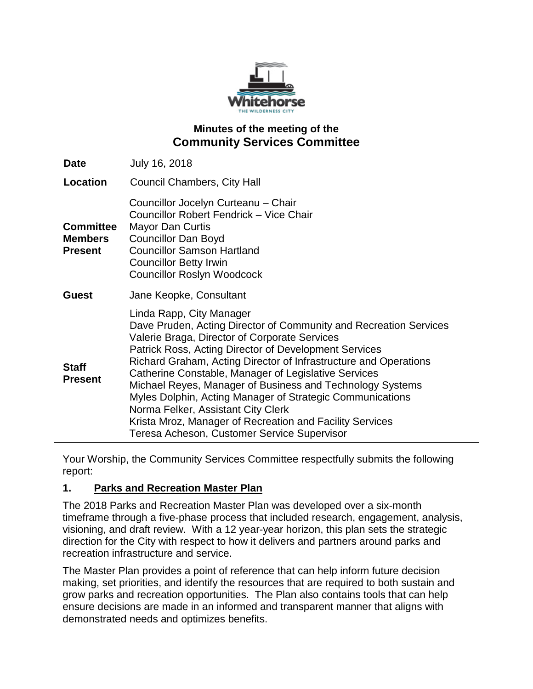

## **Minutes of the meeting of the Community Services Committee**

| <b>Date</b>                                          | July 16, 2018                                                                                                                                                                                                                                                                                                                                                                                                                                                                                                                                                                                                  |
|------------------------------------------------------|----------------------------------------------------------------------------------------------------------------------------------------------------------------------------------------------------------------------------------------------------------------------------------------------------------------------------------------------------------------------------------------------------------------------------------------------------------------------------------------------------------------------------------------------------------------------------------------------------------------|
| Location                                             | <b>Council Chambers, City Hall</b>                                                                                                                                                                                                                                                                                                                                                                                                                                                                                                                                                                             |
| <b>Committee</b><br><b>Members</b><br><b>Present</b> | Councillor Jocelyn Curteanu - Chair<br>Councillor Robert Fendrick - Vice Chair<br><b>Mayor Dan Curtis</b><br><b>Councillor Dan Boyd</b><br><b>Councillor Samson Hartland</b><br><b>Councillor Betty Irwin</b><br><b>Councillor Roslyn Woodcock</b>                                                                                                                                                                                                                                                                                                                                                             |
| <b>Guest</b>                                         | Jane Keopke, Consultant                                                                                                                                                                                                                                                                                                                                                                                                                                                                                                                                                                                        |
| <b>Staff</b><br><b>Present</b>                       | Linda Rapp, City Manager<br>Dave Pruden, Acting Director of Community and Recreation Services<br>Valerie Braga, Director of Corporate Services<br>Patrick Ross, Acting Director of Development Services<br>Richard Graham, Acting Director of Infrastructure and Operations<br>Catherine Constable, Manager of Legislative Services<br>Michael Reyes, Manager of Business and Technology Systems<br>Myles Dolphin, Acting Manager of Strategic Communications<br>Norma Felker, Assistant City Clerk<br>Krista Mroz, Manager of Recreation and Facility Services<br>Teresa Acheson, Customer Service Supervisor |

Your Worship, the Community Services Committee respectfully submits the following report:

### **1. Parks and Recreation Master Plan**

The 2018 Parks and Recreation Master Plan was developed over a six-month timeframe through a five-phase process that included research, engagement, analysis, visioning, and draft review. With a 12 year-year horizon, this plan sets the strategic direction for the City with respect to how it delivers and partners around parks and recreation infrastructure and service.

The Master Plan provides a point of reference that can help inform future decision making, set priorities, and identify the resources that are required to both sustain and grow parks and recreation opportunities. The Plan also contains tools that can help ensure decisions are made in an informed and transparent manner that aligns with demonstrated needs and optimizes benefits.